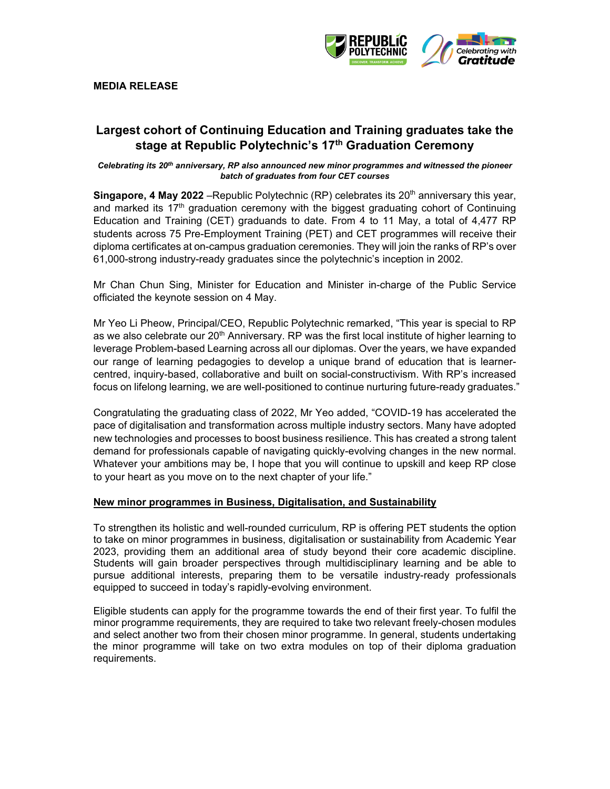

### **MEDIA RELEASE**

# **Largest cohort of Continuing Education and Training graduates take the stage at Republic Polytechnic's 17th Graduation Ceremony**

#### *Celebrating its 20th anniversary, RP also announced new minor programmes and witnessed the pioneer batch of graduates from four CET courses*

**Singapore, 4 May 2022** – Republic Polytechnic (RP) celebrates its 20<sup>th</sup> anniversary this year, and marked its  $17<sup>th</sup>$  graduation ceremony with the biggest graduating cohort of Continuing Education and Training (CET) graduands to date. From 4 to 11 May, a total of 4,477 RP students across 75 Pre-Employment Training (PET) and CET programmes will receive their diploma certificates at on-campus graduation ceremonies. They will join the ranks of RP's over 61,000-strong industry-ready graduates since the polytechnic's inception in 2002.

Mr Chan Chun Sing, Minister for Education and Minister in-charge of the Public Service officiated the keynote session on 4 May.

Mr Yeo Li Pheow, Principal/CEO, Republic Polytechnic remarked, "This year is special to RP as we also celebrate our 20<sup>th</sup> Anniversary. RP was the first local institute of higher learning to leverage Problem-based Learning across all our diplomas. Over the years, we have expanded our range of learning pedagogies to develop a unique brand of education that is learnercentred, inquiry-based, collaborative and built on social-constructivism. With RP's increased focus on lifelong learning, we are well-positioned to continue nurturing future-ready graduates."

Congratulating the graduating class of 2022, Mr Yeo added, "COVID-19 has accelerated the pace of digitalisation and transformation across multiple industry sectors. Many have adopted new technologies and processes to boost business resilience. This has created a strong talent demand for professionals capable of navigating quickly-evolving changes in the new normal. Whatever your ambitions may be, I hope that you will continue to upskill and keep RP close to your heart as you move on to the next chapter of your life."

#### **New minor programmes in Business, Digitalisation, and Sustainability**

To strengthen its holistic and well-rounded curriculum, RP is offering PET students the option to take on minor programmes in business, digitalisation or sustainability from Academic Year 2023, providing them an additional area of study beyond their core academic discipline. Students will gain broader perspectives through multidisciplinary learning and be able to pursue additional interests, preparing them to be versatile industry-ready professionals equipped to succeed in today's rapidly-evolving environment.

Eligible students can apply for the programme towards the end of their first year. To fulfil the minor programme requirements, they are required to take two relevant freely-chosen modules and select another two from their chosen minor programme. In general, students undertaking the minor programme will take on two extra modules on top of their diploma graduation requirements.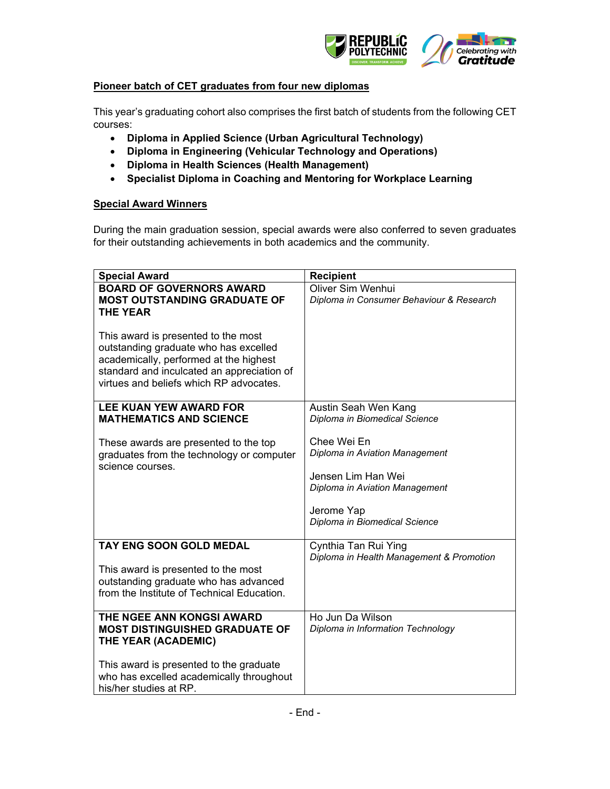

## **Pioneer batch of CET graduates from four new diplomas**

This year's graduating cohort also comprises the first batch of students from the following CET courses:

- **Diploma in Applied Science (Urban Agricultural Technology)**
- **Diploma in Engineering (Vehicular Technology and Operations)**
- **Diploma in Health Sciences (Health Management)**
- **Specialist Diploma in Coaching and Mentoring for Workplace Learning**

## **Special Award Winners**

During the main graduation session, special awards were also conferred to seven graduates for their outstanding achievements in both academics and the community.

| <b>Special Award</b>                                                                                                                                                                                            | <b>Recipient</b>                                                                                                                                     |
|-----------------------------------------------------------------------------------------------------------------------------------------------------------------------------------------------------------------|------------------------------------------------------------------------------------------------------------------------------------------------------|
| <b>BOARD OF GOVERNORS AWARD</b>                                                                                                                                                                                 | Oliver Sim Wenhui                                                                                                                                    |
| <b>MOST OUTSTANDING GRADUATE OF</b>                                                                                                                                                                             | Diploma in Consumer Behaviour & Research                                                                                                             |
| <b>THE YEAR</b>                                                                                                                                                                                                 |                                                                                                                                                      |
| This award is presented to the most<br>outstanding graduate who has excelled<br>academically, performed at the highest<br>standard and inculcated an appreciation of<br>virtues and beliefs which RP advocates. |                                                                                                                                                      |
| <b>LEE KUAN YEW AWARD FOR</b>                                                                                                                                                                                   | Austin Seah Wen Kang                                                                                                                                 |
| <b>MATHEMATICS AND SCIENCE</b>                                                                                                                                                                                  | Diploma in Biomedical Science                                                                                                                        |
| These awards are presented to the top<br>graduates from the technology or computer<br>science courses.                                                                                                          | Chee Wei En<br>Diploma in Aviation Management<br>Jensen Lim Han Wei<br>Diploma in Aviation Management<br>Jerome Yap<br>Diploma in Biomedical Science |
| <b>TAY ENG SOON GOLD MEDAL</b>                                                                                                                                                                                  | Cynthia Tan Rui Ying<br>Diploma in Health Management & Promotion                                                                                     |
| This award is presented to the most                                                                                                                                                                             |                                                                                                                                                      |
| outstanding graduate who has advanced                                                                                                                                                                           |                                                                                                                                                      |
| from the Institute of Technical Education.                                                                                                                                                                      |                                                                                                                                                      |
|                                                                                                                                                                                                                 |                                                                                                                                                      |
| THE NGEE ANN KONGSI AWARD                                                                                                                                                                                       | Ho Jun Da Wilson                                                                                                                                     |
| <b>MOST DISTINGUISHED GRADUATE OF</b>                                                                                                                                                                           | Diploma in Information Technology                                                                                                                    |
| THE YEAR (ACADEMIC)                                                                                                                                                                                             |                                                                                                                                                      |
| This award is presented to the graduate                                                                                                                                                                         |                                                                                                                                                      |
| who has excelled academically throughout                                                                                                                                                                        |                                                                                                                                                      |
| his/her studies at RP.                                                                                                                                                                                          |                                                                                                                                                      |